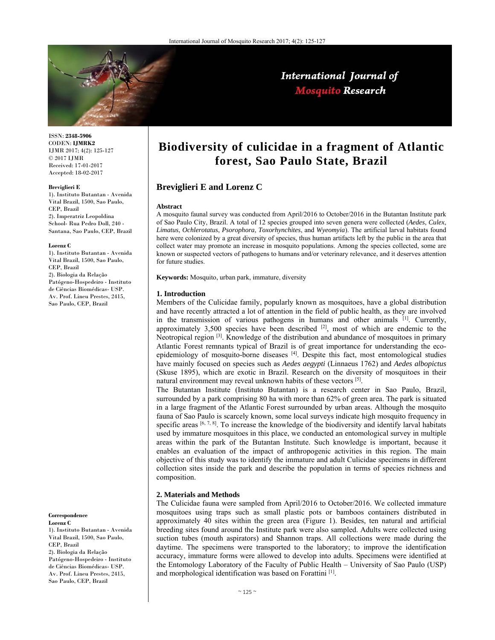

# International Journal of **Mosquito Research**

ISSN: **2348-5906** CODEN: **IJMRK2** IJMR 2017; 4(2): 125-127 © 2017 IJMR Received: 17-01-2017 Accepted: 18-02-2017

#### **Breviglieri E**

1). Instituto Butantan - Avenida Vital Brazil, 1500, Sao Paulo, CEP, Brazil 2). Imperatriz Leopoldina School- Rua Pedro Doll, 240 - Santana, Sao Paulo, CEP, Brazil

#### **Lorenz C**

1). Instituto Butantan - Avenida Vital Brazil, 1500, Sao Paulo, CEP, Brazil 2). Biologia da Relação Patógeno-Hospedeiro - Instituto de Ciências Biomédicas- USP. Av. Prof. Lineu Prestes, 2415, Sao Paulo, CEP, Brazil

**Correspondence Lorenz C** 

1). Instituto Butantan - Avenida Vital Brazil, 1500, Sao Paulo, CEP, Brazil 2). Biologia da Relação Patógeno-Hospedeiro - Instituto de Ciências Biomédicas- USP. Av. Prof. Lineu Prestes, 2415, Sao Paulo, CEP, Brazil

# **Biodiversity of culicidae in a fragment of Atlantic forest, Sao Paulo State, Brazil**

# **Breviglieri E and Lorenz C**

#### **Abstract**

A mosquito faunal survey was conducted from April/2016 to October/2016 in the Butantan Institute park of Sao Paulo City, Brazil. A total of 12 species grouped into seven genera were collected (*Aedes*, *Culex*, *Limatus*, *Ochlerotatus*, *Psorophora*, *Toxorhynchites*, and *Wyeomyia*). The artificial larval habitats found here were colonized by a great diversity of species, thus human artifacts left by the public in the area that collect water may promote an increase in mosquito populations. Among the species collected, some are known or suspected vectors of pathogens to humans and/or veterinary relevance, and it deserves attention for future studies.

**Keywords:** Mosquito, urban park, immature, diversity

#### **1. Introduction**

Members of the Culicidae family, popularly known as mosquitoes, have a global distribution and have recently attracted a lot of attention in the field of public health, as they are involved in the transmission of various pathogens in humans and other animals [1]. Currently, approximately 3,500 species have been described  $[2]$ , most of which are endemic to the Neotropical region <sup>[3]</sup>. Knowledge of the distribution and abundance of mosquitoes in primary Atlantic Forest remnants typical of Brazil is of great importance for understanding the ecoepidemiology of mosquito-borne diseases [4]. Despite this fact, most entomological studies have mainly focused on species such as *Aedes aegypti* (Linnaeus 1762) and *Aedes albopictus*  (Skuse 1895), which are exotic in Brazil. Research on the diversity of mosquitoes in their natural environment may reveal unknown habits of these vectors [5].

The Butantan Institute (Instituto Butantan) is a research center in Sao Paulo, Brazil, surrounded by a park comprising 80 ha with more than 62% of green area. The park is situated in a large fragment of the Atlantic Forest surrounded by urban areas. Although the mosquito fauna of Sao Paulo is scarcely known, some local surveys indicate high mosquito frequency in specific areas  $[6, 7, 8]$ . To increase the knowledge of the biodiversity and identify larval habitats used by immature mosquitoes in this place, we conducted an entomological survey in multiple areas within the park of the Butantan Institute. Such knowledge is important, because it enables an evaluation of the impact of anthropogenic activities in this region. The main objective of this study was to identify the immature and adult Culicidae specimens in different collection sites inside the park and describe the population in terms of species richness and composition.

### **2. Materials and Methods**

The Culicidae fauna were sampled from April/2016 to October/2016. We collected immature mosquitoes using traps such as small plastic pots or bamboos containers distributed in approximately 40 sites within the green area (Figure 1). Besides, ten natural and artificial breeding sites found around the Institute park were also sampled. Adults were collected using suction tubes (mouth aspirators) and Shannon traps. All collections were made during the daytime. The specimens were transported to the laboratory; to improve the identification accuracy, immature forms were allowed to develop into adults. Specimens were identified at the Entomology Laboratory of the Faculty of Public Health – University of Sao Paulo (USP) and morphological identification was based on Forattini [1].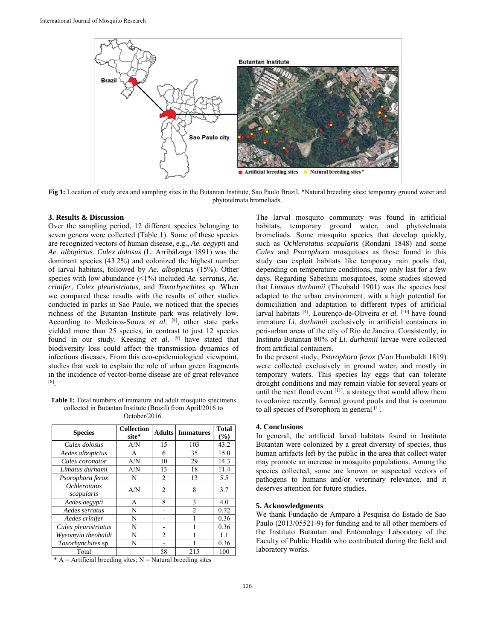

**Fig 1:** Location of study area and sampling sites in the Butantan Institute, Sao Paulo Brazil. \*Natural breeding sites: temporary ground water and phytotelmata bromeliads.

## **3. Results & Discussion**

Over the sampling period, 12 different species belonging to seven genera were collected (Table 1). Some of these species are recognized vectors of human disease, e.g., *Ae. aegypti* and *Ae. albopictus*. *Culex dolosus* (L. Arribálzaga 1891) was the dominant species (43.2%) and colonized the highest number of larval habitats, followed by *Ae. albopictus* (15%). Other species with low abundance (<1%) included *Ae. serratus*, *Ae. crinifer*, *Culex pleuristriatus*, and *Toxorhynchites* sp. When we compared these results with the results of other studies conducted in parks in Sao Paulo, we noticed that the species richness of the Butantan Institute park was relatively low. According to Medeiros-Souza *et al.* [8], other state parks yielded more than 25 species, in contrast to just 12 species found in our study. Keesing *et al.* <sup>[9]</sup> have stated that biodiversity loss could affect the transmission dynamics of infectious diseases. From this eco-epidemiological viewpoint, studies that seek to explain the role of urban green fragments in the incidence of vector-borne disease are of great relevance [8].

**Table 1:** Total numbers of immature and adult mosquito specimens collected in Butantan Institute (Brazil) from April/2016 to October/2016.

| <b>Species</b>                           | <b>Collection</b><br>site* | <b>Adults</b>  | <b>Immatures</b> | <b>Total</b><br>(%) |
|------------------------------------------|----------------------------|----------------|------------------|---------------------|
| Culex dolosus                            | A/N                        | 15             | 103              | 43.2                |
| Aedes albopictus                         | A                          | 6              | 35               | 15.0                |
| Culex coronator                          | A/N                        | 10             | 29               | 14.3                |
| Limatus durhami                          | A/N                        | 13             | 18               | 11.4                |
| Psorophora ferox                         | N                          | $\overline{c}$ | 13               | 5.5                 |
| <i><b>Ochlerotatus</b></i><br>scapularis | A/N                        | $\mathfrak{D}$ | 8                | 3.7                 |
| Aedes aegypti                            | А                          | 8              | 3                | 4.0                 |
| Aedes serratus                           | N                          |                | $\mathfrak{D}$   | 0.72                |
| Aedes crinifer                           | N                          |                |                  | 0.36                |
| Culex pleuristriatus                     | N                          |                |                  | 0.36                |
| Wyeomyia theobaldi                       | N                          | $\mathfrak{D}$ |                  | 1.1                 |
| Toxorhynchites sp.                       | N                          |                |                  | 0.36                |
| Total                                    |                            | 58             | 215              | 100                 |

 $* A =$  Artificial breeding sites; N = Natural breeding sites

The larval mosquito community was found in artificial habitats, temporary ground water, and phytotelmata bromeliads. Some mosquito species that develop quickly, such as *Ochlerotatus scapularis* (Rondani 1848) and some *Culex* and *Psorophora* mosquitoes as those found in this study can exploit habitats like temporary rain pools that, depending on temperature conditions, may only last for a few days. Regarding Sabethini mosquitoes, some studies showed that *Limatus durhamii* (Theobald 1901) was the species best adapted to the urban environment, with a high potential for domiciliation and adaptation to different types of artificial larval habitats [4]. Lourenço-de-Oliveira *et al.* [10] have found immature *Li. durhamii* exclusively in artificial containers in peri-urban areas of the city of Rio de Janeiro. Consistently, in Instituto Butantan 80% of *Li. durhamii* larvae were collected from artificial containers.

In the present study, *Psorophora ferox* (Von Humboldt 1819) were collected exclusively in ground water, and mostly in temporary waters. This species lay eggs that can tolerate drought conditions and may remain viable for several years or until the next flood event [11], a strategy that would allow them to colonize recently formed ground pools and that is common to all species of Psorophora in general [1].

# **4. Conclusions**

In general, the artificial larval habitats found in Instituto Butantan were colonized by a great diversity of species, thus human artifacts left by the public in the area that collect water may promote an increase in mosquito populations. Among the species collected, some are known or suspected vectors of pathogens to humans and/or veterinary relevance, and it deserves attention for future studies.

# **5. Acknowledgments**

We thank Fundação de Amparo à Pesquisa do Estado de Sao Paulo (2013/05521-9) for funding and to all other members of the Instituto Butantan and Entomology Laboratory of the Faculty of Public Health who contributed during the field and laboratory works.